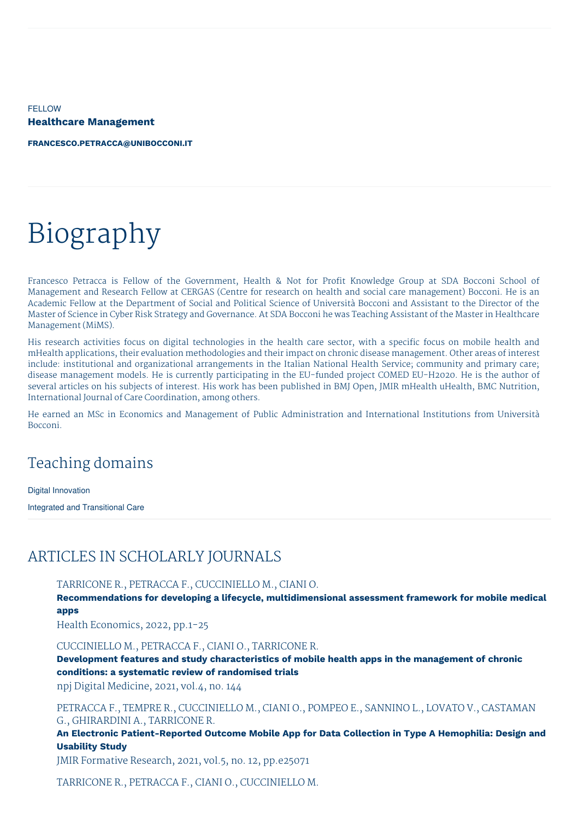FELLOW **Healthcare Management**

**[FRANCESCO.PETRACCA@UNIBOCCONI.IT](mailto:francesco.petracca@unibocconi.it)**

# Biography

Francesco Petracca is Fellow of the Government, Health & Not for Profit Knowledge Group at SDA Bocconi School of Management and Research Fellow at CERGAS (Centre for research on health and social care management) Bocconi. He is an Academic Fellow at the Department of Social and Political Science of Università Bocconi and Assistant to the Director of the Master of Science in Cyber Risk Strategy and Governance. At SDA Bocconi he was Teaching Assistant of the Master in Healthcare Management (MiMS).

His research activities focus on digital technologies in the health care sector, with a specific focus on mobile health and mHealth applications, their evaluation methodologies and their impact on chronic disease management. Other areas of interest include: institutional and organizational arrangements in the Italian National Health Service; community and primary care; disease management models. He is currently participating in the EU-funded project COMED EU-H2020. He is the author of several articles on his subjects of interest. His work has been published in BMJ Open, JMIR mHealth uHealth, BMC Nutrition, International Journal of Care Coordination, among others.

He earned an MSc in Economics and Management of Public Administration and International Institutions from Università Bocconi.

# Teaching domains

Digital Innovation

Integrated and Transitional Care

## ARTICLES IN SCHOLARLY JOURNALS

TARRICONE R., PETRACCA F., CUCCINIELLO M., CIANI O.

**Recommendations for developing a lifecycle, multidimensional assessment framework for mobile medical apps**

Health Economics, 2022, pp.1-25

#### CUCCINIELLO M., PETRACCA F., CIANI O., TARRICONE R.

**Development features and study characteristics of mobile health apps in the management of chronic conditions: a systematic review of randomised trials**

npj Digital Medicine, 2021, vol.4, no. 144

PETRACCA F., TEMPRE R., CUCCINIELLO M., CIANI O., POMPEO E., SANNINO L., LOVATO V., CASTAMAN G., GHIRARDINI A., TARRICONE R.

**An Electronic Patient-Reported Outcome Mobile App for Data Collection in Type A Hemophilia: Design and Usability Study**

JMIR Formative Research, 2021, vol.5, no. 12, pp.e25071

TARRICONE R., PETRACCA F., CIANI O., CUCCINIELLO M.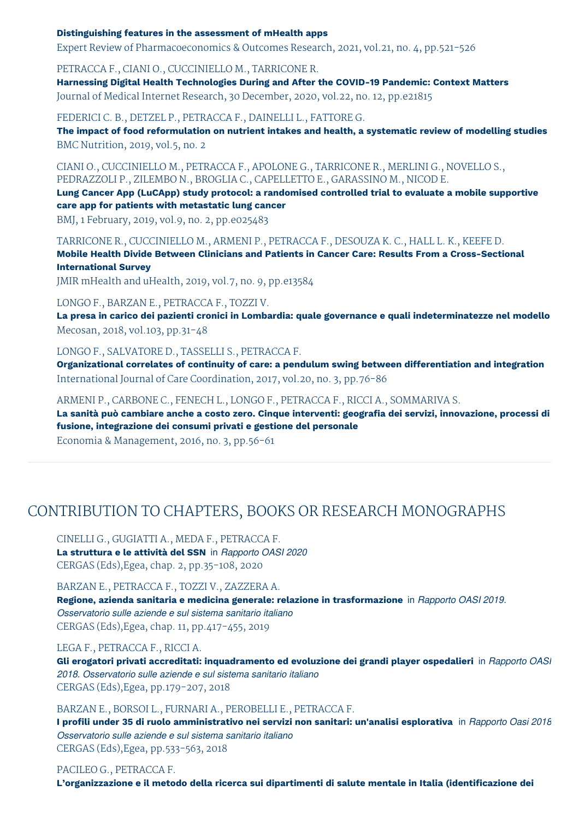#### **Distinguishing features in the assessment of mHealth apps**

Expert Review of Pharmacoeconomics & Outcomes Research, 2021, vol.21, no. 4, pp.521-526

PETRACCA F., CIANI O., CUCCINIELLO M., TARRICONE R.

**Harnessing Digital Health Technologies During and After the COVID-19 Pandemic: Context Matters** Journal of Medical Internet Research, 30 December, 2020, vol.22, no. 12, pp.e21815

FEDERICI C. B., DETZEL P., PETRACCA F., DAINELLI L., FATTORE G.

**The impact of food reformulation on nutrient intakes and health, a systematic review of modelling studies** BMC Nutrition, 2019, vol.5, no. 2

CIANI O., CUCCINIELLO M., PETRACCA F., APOLONE G., TARRICONE R., MERLINI G., NOVELLO S., PEDRAZZOLI P., ZILEMBO N., BROGLIA C., CAPELLETTO E., GARASSINO M., NICOD E.

**Lung Cancer App (LuCApp) study protocol: a randomised controlled trial to evaluate a mobile supportive care app for patients with metastatic lung cancer**

BMJ, 1 February, 2019, vol.9, no. 2, pp.e025483

TARRICONE R., CUCCINIELLO M., ARMENI P., PETRACCA F., DESOUZA K. C., HALL L. K., KEEFE D. **Mobile Health Divide Between Clinicians and Patients in Cancer Care: Results From a Cross-Sectional International Survey**

JMIR mHealth and uHealth, 2019, vol.7, no. 9, pp.e13584

LONGO F., BARZAN E., PETRACCA F., TOZZI V.

**La presa in carico dei pazienti cronici in Lombardia: quale governance e quali indeterminatezze nel modello** Mecosan, 2018, vol.103, pp.31-48

LONGO F., SALVATORE D., TASSELLI S., PETRACCA F.

**Organizational correlates of continuity of care: a pendulum swing between differentiation and integration** International Journal of Care Coordination, 2017, vol.20, no. 3, pp.76-86

ARMENI P., CARBONE C., FENECH L., LONGO F., PETRACCA F., RICCI A., SOMMARIVA S.

**La sanità può cambiare anche a costo zero. Cinque interventi: geografia dei servizi, innovazione, processi di fusione, integrazione dei consumi privati e gestione del personale**

Economia & Management, 2016, no. 3, pp.56-61

# CONTRIBUTION TO CHAPTERS, BOOKS OR RESEARCH MONOGRAPHS

CINELLI G., GUGIATTI A., MEDA F., PETRACCA F. **La struttura e le attività del SSN** in *Rapporto OASI 2020* CERGAS (Eds),Egea, chap. 2, pp.35-108, 2020

BARZAN E., PETRACCA F., TOZZI V., ZAZZERA A.

**Regione, azienda sanitaria e medicina generale: relazione in trasformazione** in *Rapporto OASI 2019. Osservatorio sulle aziende e sul sistema sanitario italiano* CERGAS (Eds),Egea, chap. 11, pp.417-455, 2019

#### LEGA F., PETRACCA F., RICCI A.

**Gli erogatori privati accreditati: inquadramento ed evoluzione dei grandi player ospedalieri** in *Rapporto OASI 2018. Osservatorio sulle aziende e sul sistema sanitario italiano* CERGAS (Eds),Egea, pp.179-207, 2018

BARZAN E., BORSOI L., FURNARI A., PEROBELLI E., PETRACCA F.

I profili under 35 di ruolo amministrativo nei servizi non sanitari: un'analisi esplorativa in Rapporto Oasi 2018 *Osservatorio sulle aziende e sul sistema sanitario italiano* CERGAS (Eds),Egea, pp.533-563, 2018

#### PACILEO G., PETRACCA F.

**L'organizzazione e il metodo della ricerca sui dipartimenti di salute mentale in Italia (identificazione dei**